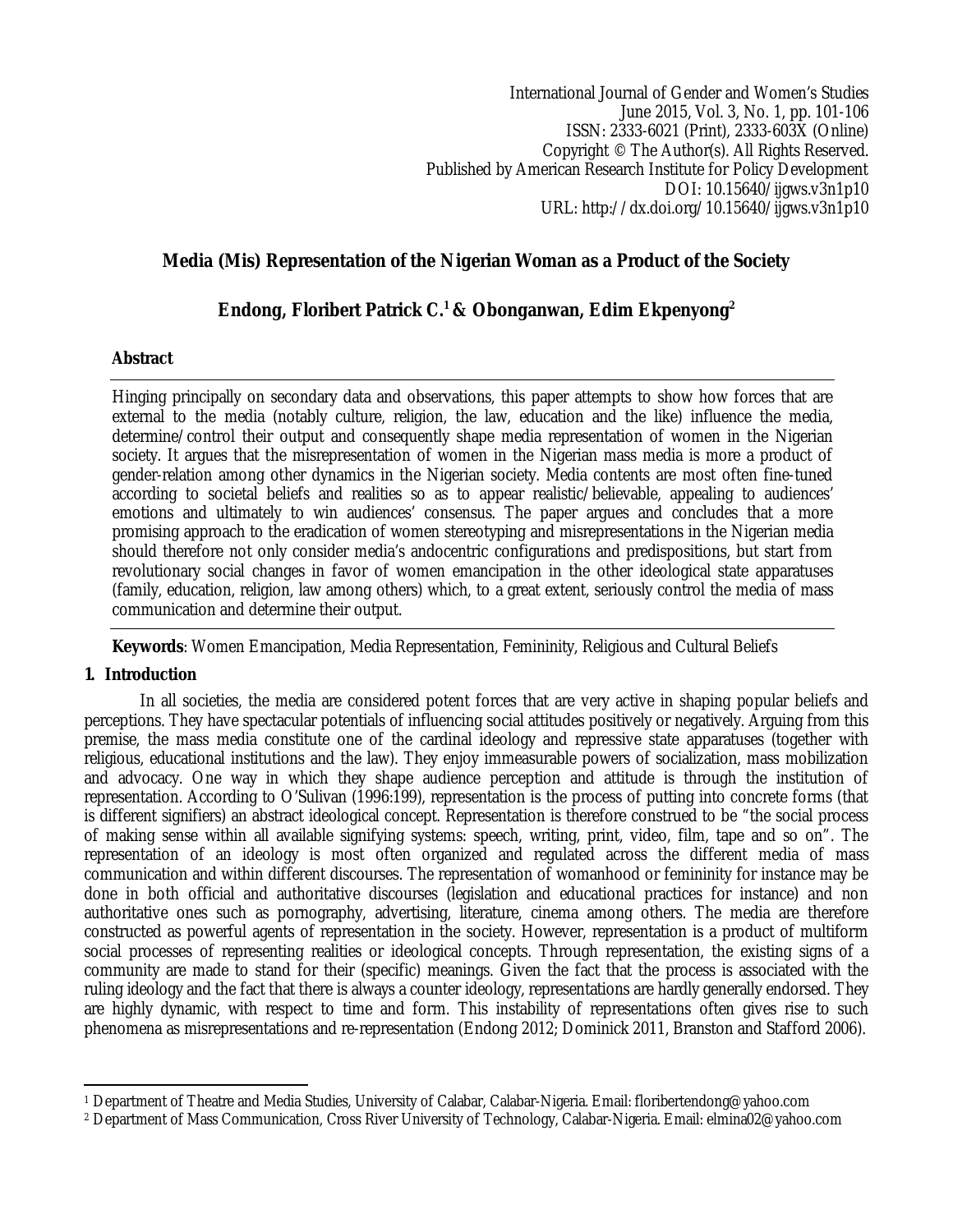International Journal of Gender and Women's Studies June 2015, Vol. 3, No. 1, pp. 101-106 ISSN: 2333-6021 (Print), 2333-603X (Online) Copyright © The Author(s). All Rights Reserved. Published by American Research Institute for Policy Development DOI: 10.15640/ijgws.v3n1p10 URL: http://dx.doi.org/10.15640/ijgws.v3n1p10

## **Media (Mis) Representation of the Nigerian Woman as a Product of the Society**

# **Endong, Floribert Patrick C.<sup>1</sup> & Obonganwan, Edim Ekpenyong<sup>2</sup>**

## **Abstract**

Hinging principally on secondary data and observations, this paper attempts to show how forces that are external to the media (notably culture, religion, the law, education and the like) influence the media, determine/control their output and consequently shape media representation of women in the Nigerian society. It argues that the misrepresentation of women in the Nigerian mass media is more a product of gender-relation among other dynamics in the Nigerian society. Media contents are most often fine-tuned according to societal beliefs and realities so as to appear realistic/believable, appealing to audiences' emotions and ultimately to win audiences' consensus. The paper argues and concludes that a more promising approach to the eradication of women stereotyping and misrepresentations in the Nigerian media should therefore not only consider media's andocentric configurations and predispositions, but start from revolutionary social changes in favor of women emancipation in the other ideological state apparatuses (family, education, religion, law among others) which, to a great extent, seriously control the media of mass communication and determine their output.

**Keywords**: Women Emancipation, Media Representation, Femininity, Religious and Cultural Beliefs

## **1. Introduction**

In all societies, the media are considered potent forces that are very active in shaping popular beliefs and perceptions. They have spectacular potentials of influencing social attitudes positively or negatively. Arguing from this premise, the mass media constitute one of the cardinal ideology and repressive state apparatuses (together with religious, educational institutions and the law). They enjoy immeasurable powers of socialization, mass mobilization and advocacy. One way in which they shape audience perception and attitude is through the institution of representation. According to O'Sulivan (1996:199), representation is the process of putting into concrete forms (that is different signifiers) an abstract ideological concept. Representation is therefore construed to be "the social process of making sense within all available signifying systems: speech, writing, print, video, film, tape and so on". The representation of an ideology is most often organized and regulated across the different media of mass communication and within different discourses. The representation of womanhood or femininity for instance may be done in both official and authoritative discourses (legislation and educational practices for instance) and non authoritative ones such as pornography, advertising, literature, cinema among others. The media are therefore constructed as powerful agents of representation in the society. However, representation is a product of multiform social processes of representing realities or ideological concepts. Through representation, the existing signs of a community are made to stand for their (specific) meanings. Given the fact that the process is associated with the ruling ideology and the fact that there is always a counter ideology, representations are hardly generally endorsed. They are highly dynamic, with respect to time and form. This instability of representations often gives rise to such phenomena as misrepresentations and re-representation (Endong 2012; Dominick 2011, Branston and Stafford 2006).

 $\overline{a}$ <sup>1</sup> Department of Theatre and Media Studies, University of Calabar, Calabar-Nigeria. Email: floribertendong@yahoo.com

<sup>2</sup> Department of Mass Communication, Cross River University of Technology, Calabar-Nigeria. Email: elmina02@yahoo.com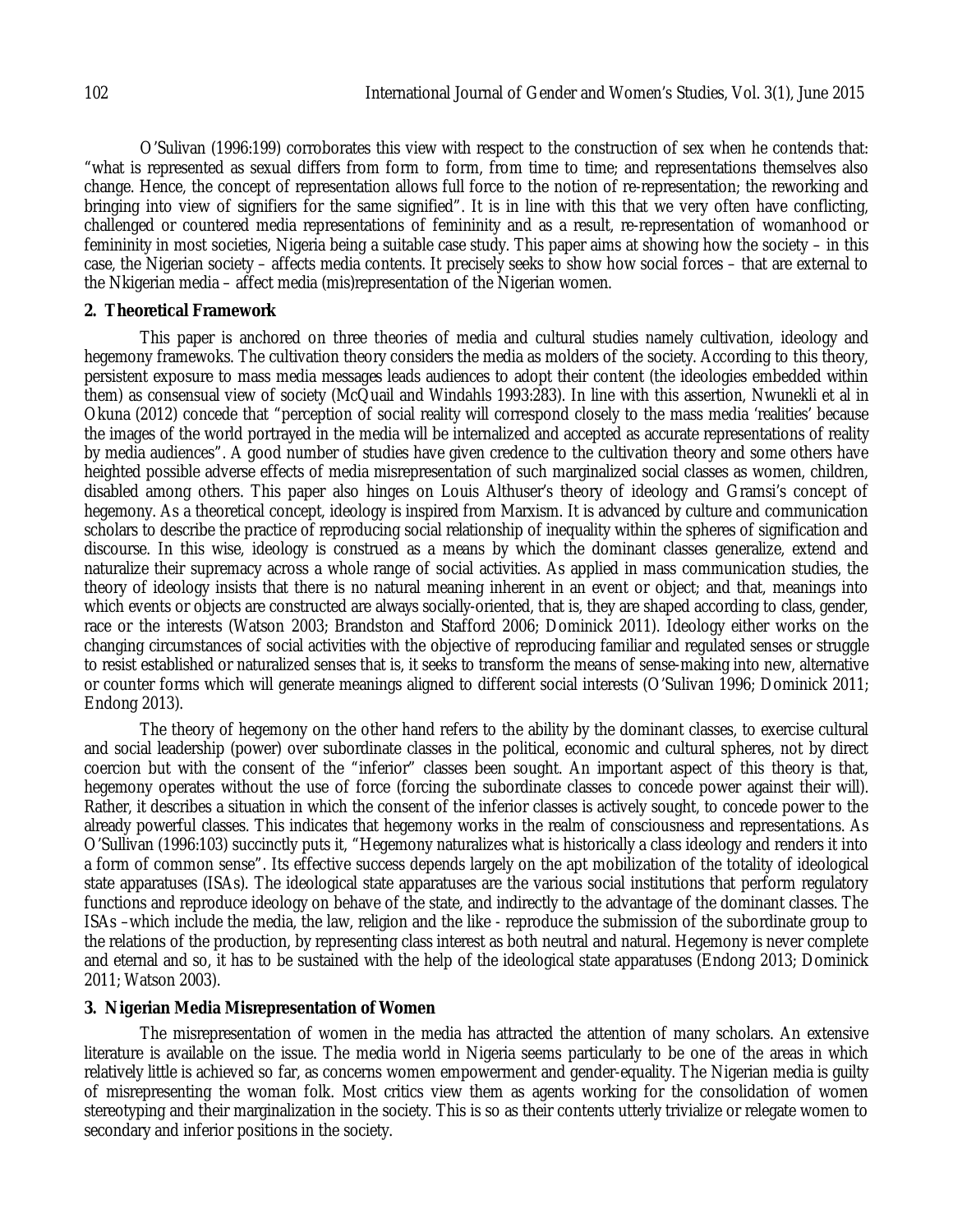O'Sulivan (1996:199) corroborates this view with respect to the construction of sex when he contends that: "what is represented as sexual differs from form to form, from time to time; and representations themselves also change. Hence, the concept of representation allows full force to the notion of re-representation; the reworking and bringing into view of signifiers for the same signified". It is in line with this that we very often have conflicting, challenged or countered media representations of femininity and as a result, re-representation of womanhood or femininity in most societies, Nigeria being a suitable case study. This paper aims at showing how the society – in this case, the Nigerian society – affects media contents. It precisely seeks to show how social forces – that are external to the Nkigerian media – affect media (mis)representation of the Nigerian women.

#### **2. Theoretical Framework**

This paper is anchored on three theories of media and cultural studies namely cultivation, ideology and hegemony framewoks. The cultivation theory considers the media as molders of the society. According to this theory, persistent exposure to mass media messages leads audiences to adopt their content (the ideologies embedded within them) as consensual view of society (McQuail and Windahls 1993:283). In line with this assertion, Nwunekli et al in Okuna (2012) concede that "perception of social reality will correspond closely to the mass media 'realities' because the images of the world portrayed in the media will be internalized and accepted as accurate representations of reality by media audiences". A good number of studies have given credence to the cultivation theory and some others have heighted possible adverse effects of media misrepresentation of such marginalized social classes as women, children, disabled among others. This paper also hinges on Louis Althuser's theory of ideology and Gramsi's concept of hegemony. As a theoretical concept, ideology is inspired from Marxism. It is advanced by culture and communication scholars to describe the practice of reproducing social relationship of inequality within the spheres of signification and discourse. In this wise, ideology is construed as a means by which the dominant classes generalize, extend and naturalize their supremacy across a whole range of social activities. As applied in mass communication studies, the theory of ideology insists that there is no natural meaning inherent in an event or object; and that, meanings into which events or objects are constructed are always socially-oriented, that is, they are shaped according to class, gender, race or the interests (Watson 2003; Brandston and Stafford 2006; Dominick 2011). Ideology either works on the changing circumstances of social activities with the objective of reproducing familiar and regulated senses or struggle to resist established or naturalized senses that is, it seeks to transform the means of sense-making into new, alternative or counter forms which will generate meanings aligned to different social interests (O'Sulivan 1996; Dominick 2011; Endong 2013).

The theory of hegemony on the other hand refers to the ability by the dominant classes, to exercise cultural and social leadership (power) over subordinate classes in the political, economic and cultural spheres, not by direct coercion but with the consent of the "inferior" classes been sought. An important aspect of this theory is that, hegemony operates without the use of force (forcing the subordinate classes to concede power against their will). Rather, it describes a situation in which the consent of the inferior classes is actively sought, to concede power to the already powerful classes. This indicates that hegemony works in the realm of consciousness and representations. As O'Sullivan (1996:103) succinctly puts it, "Hegemony naturalizes what is historically a class ideology and renders it into a form of common sense". Its effective success depends largely on the apt mobilization of the totality of ideological state apparatuses (ISAs). The ideological state apparatuses are the various social institutions that perform regulatory functions and reproduce ideology on behave of the state, and indirectly to the advantage of the dominant classes. The ISAs –which include the media, the law, religion and the like - reproduce the submission of the subordinate group to the relations of the production, by representing class interest as both neutral and natural. Hegemony is never complete and eternal and so, it has to be sustained with the help of the ideological state apparatuses (Endong 2013; Dominick 2011; Watson 2003).

#### **3. Nigerian Media Misrepresentation of Women**

The misrepresentation of women in the media has attracted the attention of many scholars. An extensive literature is available on the issue. The media world in Nigeria seems particularly to be one of the areas in which relatively little is achieved so far, as concerns women empowerment and gender-equality. The Nigerian media is guilty of misrepresenting the woman folk. Most critics view them as agents working for the consolidation of women stereotyping and their marginalization in the society. This is so as their contents utterly trivialize or relegate women to secondary and inferior positions in the society.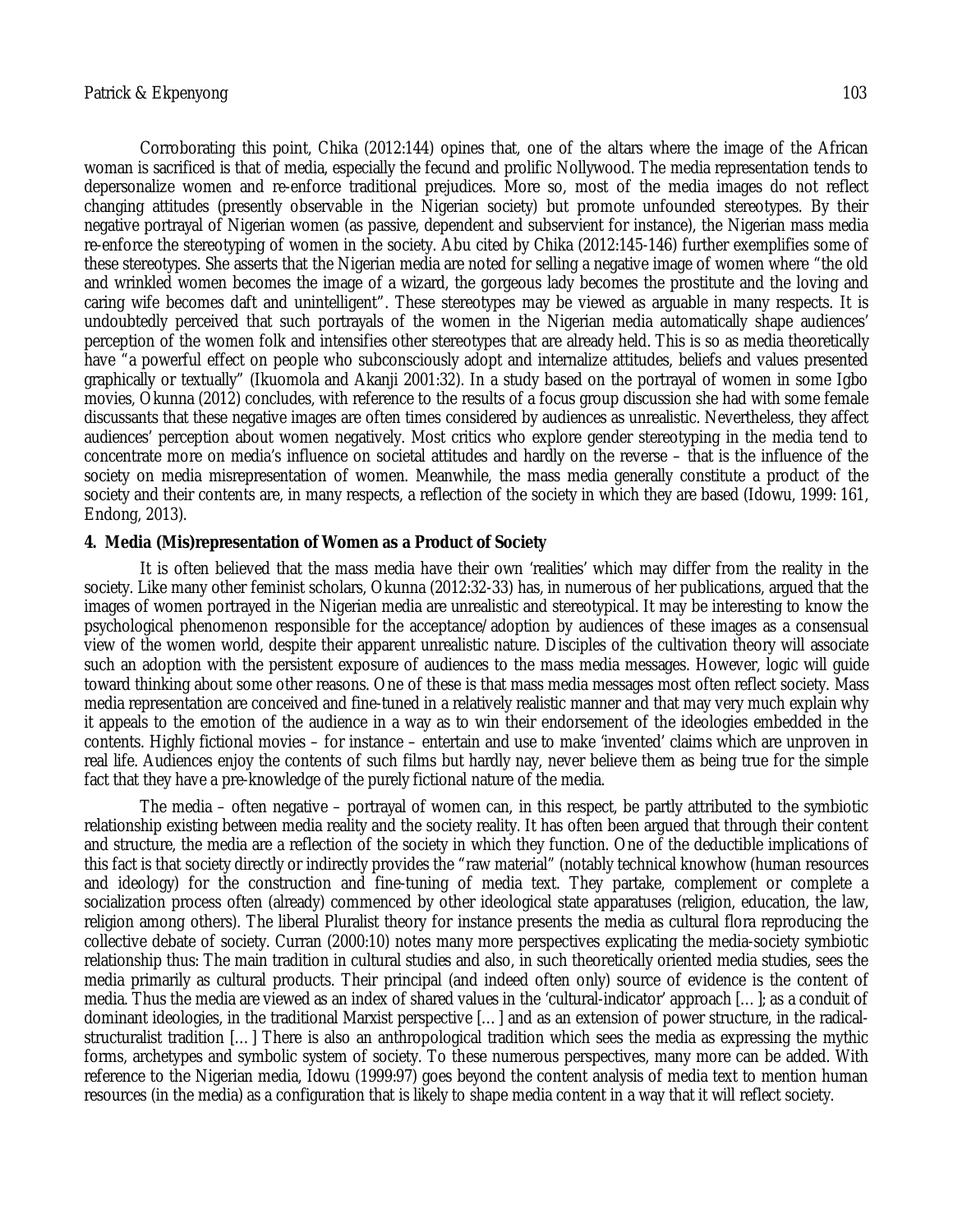Corroborating this point, Chika (2012:144) opines that, one of the altars where the image of the African woman is sacrificed is that of media, especially the fecund and prolific Nollywood. The media representation tends to depersonalize women and re-enforce traditional prejudices. More so, most of the media images do not reflect changing attitudes (presently observable in the Nigerian society) but promote unfounded stereotypes. By their negative portrayal of Nigerian women (as passive, dependent and subservient for instance), the Nigerian mass media re-enforce the stereotyping of women in the society. Abu cited by Chika (2012:145-146) further exemplifies some of these stereotypes. She asserts that the Nigerian media are noted for selling a negative image of women where "the old and wrinkled women becomes the image of a wizard, the gorgeous lady becomes the prostitute and the loving and caring wife becomes daft and unintelligent". These stereotypes may be viewed as arguable in many respects. It is undoubtedly perceived that such portrayals of the women in the Nigerian media automatically shape audiences' perception of the women folk and intensifies other stereotypes that are already held. This is so as media theoretically have "a powerful effect on people who subconsciously adopt and internalize attitudes, beliefs and values presented graphically or textually" (Ikuomola and Akanji 2001:32). In a study based on the portrayal of women in some Igbo movies, Okunna (2012) concludes, with reference to the results of a focus group discussion she had with some female discussants that these negative images are often times considered by audiences as unrealistic. Nevertheless, they affect audiences' perception about women negatively. Most critics who explore gender stereotyping in the media tend to concentrate more on media's influence on societal attitudes and hardly on the reverse – that is the influence of the society on media misrepresentation of women. Meanwhile, the mass media generally constitute a product of the society and their contents are, in many respects, a reflection of the society in which they are based (Idowu, 1999: 161, Endong, 2013).

#### **4. Media (Mis)representation of Women as a Product of Society**

It is often believed that the mass media have their own 'realities' which may differ from the reality in the society. Like many other feminist scholars, Okunna (2012:32-33) has, in numerous of her publications, argued that the images of women portrayed in the Nigerian media are unrealistic and stereotypical. It may be interesting to know the psychological phenomenon responsible for the acceptance/adoption by audiences of these images as a consensual view of the women world, despite their apparent unrealistic nature. Disciples of the cultivation theory will associate such an adoption with the persistent exposure of audiences to the mass media messages. However, logic will guide toward thinking about some other reasons. One of these is that mass media messages most often reflect society. Mass media representation are conceived and fine-tuned in a relatively realistic manner and that may very much explain why it appeals to the emotion of the audience in a way as to win their endorsement of the ideologies embedded in the contents. Highly fictional movies – for instance – entertain and use to make 'invented' claims which are unproven in real life. Audiences enjoy the contents of such films but hardly nay, never believe them as being true for the simple fact that they have a pre-knowledge of the purely fictional nature of the media.

The media – often negative – portrayal of women can, in this respect, be partly attributed to the symbiotic relationship existing between media reality and the society reality. It has often been argued that through their content and structure, the media are a reflection of the society in which they function. One of the deductible implications of this fact is that society directly or indirectly provides the "raw material" (notably technical knowhow (human resources and ideology) for the construction and fine-tuning of media text. They partake, complement or complete a socialization process often (already) commenced by other ideological state apparatuses (religion, education, the law, religion among others). The liberal Pluralist theory for instance presents the media as cultural flora reproducing the collective debate of society. Curran (2000:10) notes many more perspectives explicating the media-society symbiotic relationship thus: The main tradition in cultural studies and also, in such theoretically oriented media studies, sees the media primarily as cultural products. Their principal (and indeed often only) source of evidence is the content of media. Thus the media are viewed as an index of shared values in the 'cultural-indicator' approach […]; as a conduit of dominant ideologies, in the traditional Marxist perspective […] and as an extension of power structure, in the radicalstructuralist tradition […] There is also an anthropological tradition which sees the media as expressing the mythic forms, archetypes and symbolic system of society. To these numerous perspectives, many more can be added. With reference to the Nigerian media, Idowu (1999:97) goes beyond the content analysis of media text to mention human resources (in the media) as a configuration that is likely to shape media content in a way that it will reflect society.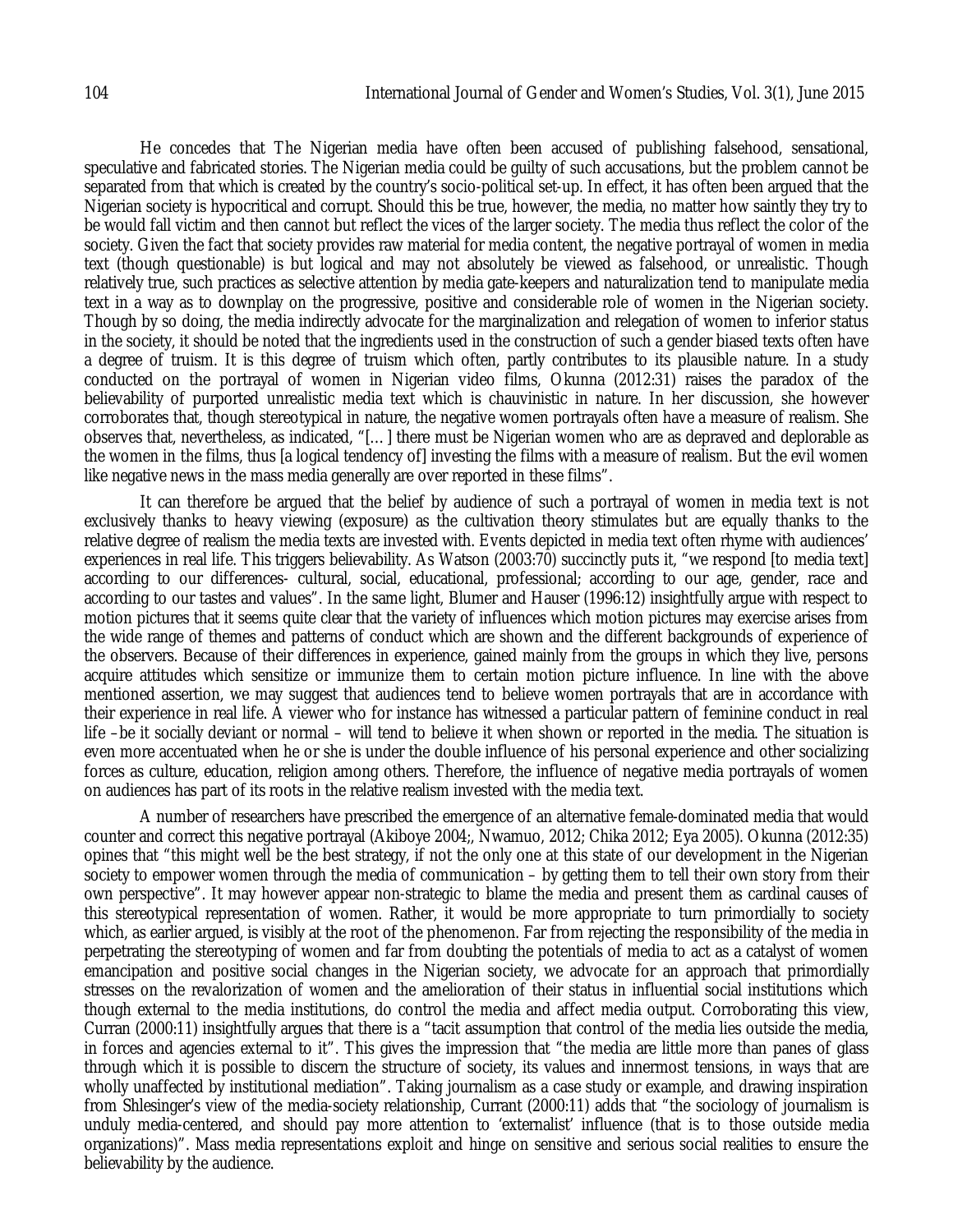He concedes that The Nigerian media have often been accused of publishing falsehood, sensational, speculative and fabricated stories. The Nigerian media could be guilty of such accusations, but the problem cannot be separated from that which is created by the country's socio-political set-up. In effect, it has often been argued that the Nigerian society is hypocritical and corrupt. Should this be true, however, the media, no matter how saintly they try to be would fall victim and then cannot but reflect the vices of the larger society. The media thus reflect the color of the society. Given the fact that society provides raw material for media content, the negative portrayal of women in media text (though questionable) is but logical and may not absolutely be viewed as falsehood, or unrealistic. Though relatively true, such practices as selective attention by media gate-keepers and naturalization tend to manipulate media text in a way as to downplay on the progressive, positive and considerable role of women in the Nigerian society. Though by so doing, the media indirectly advocate for the marginalization and relegation of women to inferior status in the society, it should be noted that the ingredients used in the construction of such a gender biased texts often have a degree of truism. It is this degree of truism which often, partly contributes to its plausible nature. In a study conducted on the portrayal of women in Nigerian video films, Okunna (2012:31) raises the paradox of the believability of purported unrealistic media text which is chauvinistic in nature. In her discussion, she however corroborates that, though stereotypical in nature, the negative women portrayals often have a measure of realism. She observes that, nevertheless, as indicated, "[…] there must be Nigerian women who are as depraved and deplorable as the women in the films, thus [a logical tendency of] investing the films with a measure of realism. But the evil women like negative news in the mass media generally are over reported in these films".

It can therefore be argued that the belief by audience of such a portrayal of women in media text is not exclusively thanks to heavy viewing (exposure) as the cultivation theory stimulates but are equally thanks to the relative degree of realism the media texts are invested with. Events depicted in media text often rhyme with audiences' experiences in real life. This triggers believability. As Watson (2003:70) succinctly puts it, "we respond [to media text] according to our differences- cultural, social, educational, professional; according to our age, gender, race and according to our tastes and values". In the same light, Blumer and Hauser (1996:12) insightfully argue with respect to motion pictures that it seems quite clear that the variety of influences which motion pictures may exercise arises from the wide range of themes and patterns of conduct which are shown and the different backgrounds of experience of the observers. Because of their differences in experience, gained mainly from the groups in which they live, persons acquire attitudes which sensitize or immunize them to certain motion picture influence. In line with the above mentioned assertion, we may suggest that audiences tend to believe women portrayals that are in accordance with their experience in real life. A viewer who for instance has witnessed a particular pattern of feminine conduct in real life –be it socially deviant or normal – will tend to believe it when shown or reported in the media. The situation is even more accentuated when he or she is under the double influence of his personal experience and other socializing forces as culture, education, religion among others. Therefore, the influence of negative media portrayals of women on audiences has part of its roots in the relative realism invested with the media text.

A number of researchers have prescribed the emergence of an alternative female-dominated media that would counter and correct this negative portrayal (Akiboye 2004;, Nwamuo, 2012; Chika 2012; Eya 2005). Okunna (2012:35) opines that "this might well be the best strategy, if not the only one at this state of our development in the Nigerian society to empower women through the media of communication – by getting them to tell their own story from their own perspective". It may however appear non-strategic to blame the media and present them as cardinal causes of this stereotypical representation of women. Rather, it would be more appropriate to turn primordially to society which, as earlier argued, is visibly at the root of the phenomenon. Far from rejecting the responsibility of the media in perpetrating the stereotyping of women and far from doubting the potentials of media to act as a catalyst of women emancipation and positive social changes in the Nigerian society, we advocate for an approach that primordially stresses on the revalorization of women and the amelioration of their status in influential social institutions which though external to the media institutions, do control the media and affect media output. Corroborating this view, Curran (2000:11) insightfully argues that there is a "tacit assumption that control of the media lies outside the media, in forces and agencies external to it". This gives the impression that "the media are little more than panes of glass through which it is possible to discern the structure of society, its values and innermost tensions, in ways that are wholly unaffected by institutional mediation". Taking journalism as a case study or example, and drawing inspiration from Shlesinger's view of the media-society relationship, Currant (2000:11) adds that "the sociology of journalism is unduly media-centered, and should pay more attention to 'externalist' influence (that is to those outside media organizations)". Mass media representations exploit and hinge on sensitive and serious social realities to ensure the believability by the audience.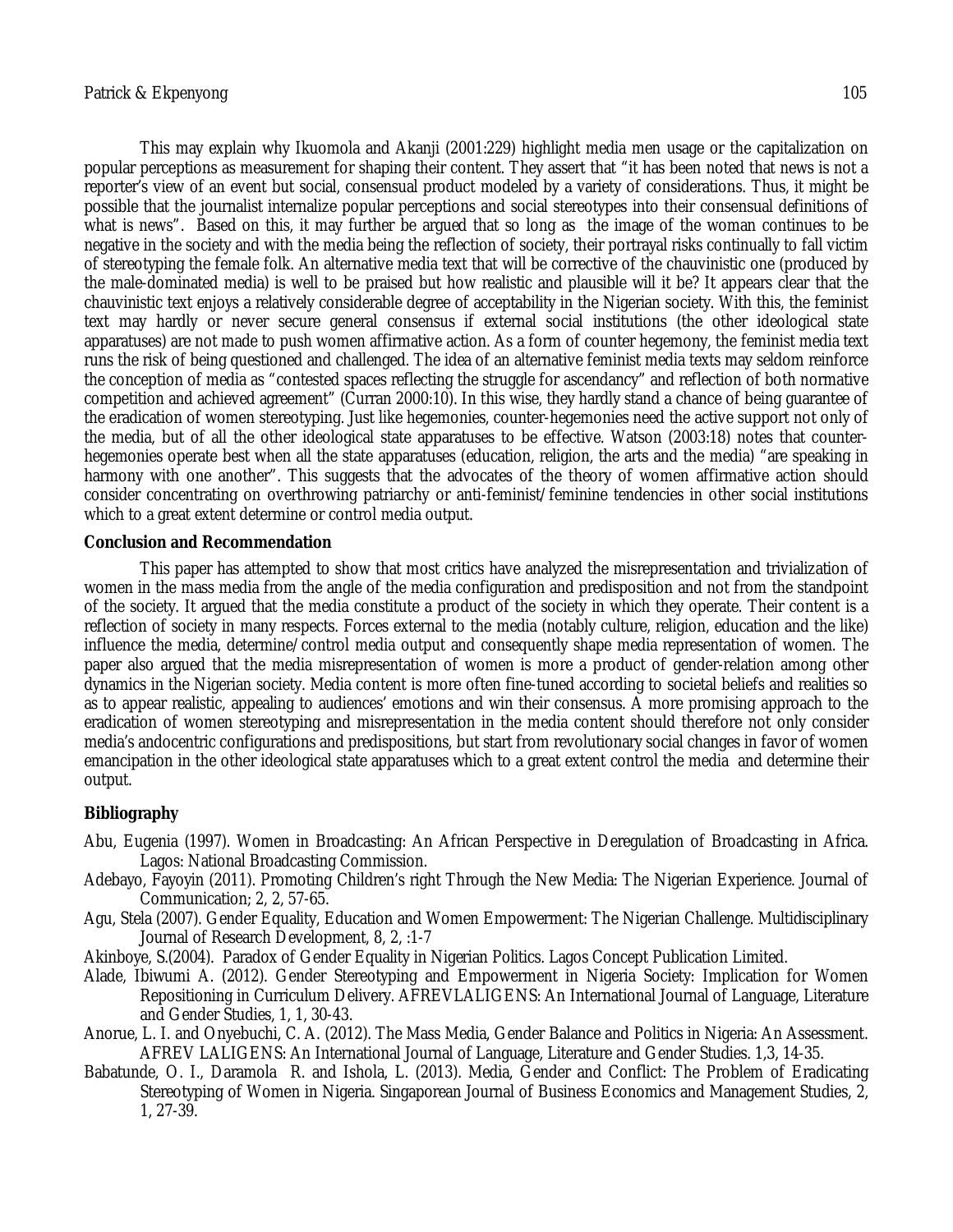This may explain why Ikuomola and Akanji (2001:229) highlight media men usage or the capitalization on popular perceptions as measurement for shaping their content. They assert that "it has been noted that news is not a reporter's view of an event but social, consensual product modeled by a variety of considerations. Thus, it might be possible that the journalist internalize popular perceptions and social stereotypes into their consensual definitions of what is news". Based on this, it may further be argued that so long as the image of the woman continues to be negative in the society and with the media being the reflection of society, their portrayal risks continually to fall victim of stereotyping the female folk. An alternative media text that will be corrective of the chauvinistic one (produced by the male-dominated media) is well to be praised but how realistic and plausible will it be? It appears clear that the chauvinistic text enjoys a relatively considerable degree of acceptability in the Nigerian society. With this, the feminist text may hardly or never secure general consensus if external social institutions (the other ideological state apparatuses) are not made to push women affirmative action. As a form of counter hegemony, the feminist media text runs the risk of being questioned and challenged. The idea of an alternative feminist media texts may seldom reinforce the conception of media as "contested spaces reflecting the struggle for ascendancy" and reflection of both normative competition and achieved agreement" (Curran 2000:10). In this wise, they hardly stand a chance of being guarantee of the eradication of women stereotyping. Just like hegemonies, counter-hegemonies need the active support not only of the media, but of all the other ideological state apparatuses to be effective. Watson (2003:18) notes that counterhegemonies operate best when all the state apparatuses (education, religion, the arts and the media) "are speaking in harmony with one another". This suggests that the advocates of the theory of women affirmative action should consider concentrating on overthrowing patriarchy or anti-feminist/feminine tendencies in other social institutions which to a great extent determine or control media output.

#### **Conclusion and Recommendation**

This paper has attempted to show that most critics have analyzed the misrepresentation and trivialization of women in the mass media from the angle of the media configuration and predisposition and not from the standpoint of the society. It argued that the media constitute a product of the society in which they operate. Their content is a reflection of society in many respects. Forces external to the media (notably culture, religion, education and the like) influence the media, determine/control media output and consequently shape media representation of women. The paper also argued that the media misrepresentation of women is more a product of gender-relation among other dynamics in the Nigerian society. Media content is more often fine-tuned according to societal beliefs and realities so as to appear realistic, appealing to audiences' emotions and win their consensus. A more promising approach to the eradication of women stereotyping and misrepresentation in the media content should therefore not only consider media's andocentric configurations and predispositions, but start from revolutionary social changes in favor of women emancipation in the other ideological state apparatuses which to a great extent control the media and determine their output.

## **Bibliography**

- Abu, Eugenia (1997). Women in Broadcasting: An African Perspective in Deregulation of Broadcasting in Africa. Lagos: National Broadcasting Commission.
- Adebayo, Fayoyin (2011). Promoting Children's right Through the New Media: The Nigerian Experience. Journal of Communication; 2, 2, 57-65.
- Agu, Stela (2007). Gender Equality, Education and Women Empowerment: The Nigerian Challenge. Multidisciplinary Journal of Research Development, 8, 2, :1-7
- Akinboye, S.(2004). Paradox of Gender Equality in Nigerian Politics. Lagos Concept Publication Limited.
- Alade, Ibiwumi A. (2012). Gender Stereotyping and Empowerment in Nigeria Society: Implication for Women Repositioning in Curriculum Delivery. AFREVLALIGENS: An International Journal of Language, Literature and Gender Studies, 1, 1, 30-43.
- Anorue, L. I. and Onyebuchi, C. A. (2012). The Mass Media, Gender Balance and Politics in Nigeria: An Assessment. AFREV LALIGENS: An International Journal of Language, Literature and Gender Studies. 1,3, 14-35.
- Babatunde, O. I., Daramola R. and Ishola, L. (2013). Media, Gender and Conflict: The Problem of Eradicating Stereotyping of Women in Nigeria. Singaporean Journal of Business Economics and Management Studies, 2, 1, 27-39.